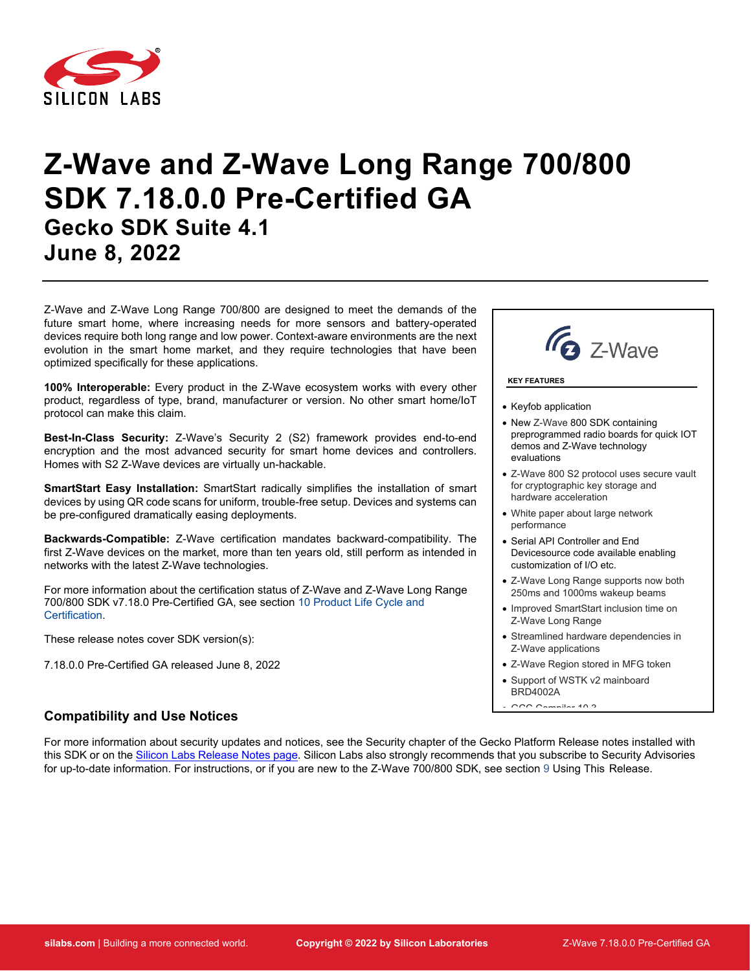

# **Z-Wave and Z-Wave Long Range 700/800 SDK 7.18.0.0 Pre-Certified GA Gecko SDK Suite 4.1 June 8, 2022**

Z-Wave and Z-Wave Long Range 700/800 are designed to meet the demands of the future smart home, where increasing needs for more sensors and battery-operated devices require both long range and low power. Context-aware environments are the next evolution in the smart home market, and they require technologies that have been optimized specifically for these applications.

**100% Interoperable:** Every product in the Z-Wave ecosystem works with every other product, regardless of type, brand, manufacturer or version. No other smart home/IoT protocol can make this claim.

**Best-In-Class Security:** Z-Wave's Security 2 (S2) framework provides end-to-end encryption and the most advanced security for smart home devices and controllers. Homes with S2 Z-Wave devices are virtually un-hackable.

**SmartStart Easy Installation:** SmartStart radically simplifies the installation of smart devices by using QR code scans for uniform, trouble-free setup. Devices and systems can be pre-configured dramatically easing deployments.

**Backwards-Compatible:** Z-Wave certification mandates backward-compatibility. The first Z-Wave devices on the market, more than ten years old, still perform as intended in networks with the latest Z-Wave technologies.

For more information about the certification status of Z-Wave and Z-Wave Long Range 700/800 SDK v7.18.0 Pre-Certified GA, see section [10](#page-21-0) [Product Life Cycle and](#page-21-0)  [Certification.](#page-21-0)

These release notes cover SDK version(s):

7.18.0.0 Pre-Certified GA released June 8, 2022

# **Compatibility and Use Notices**

For more information about security updates and notices, see the Security chapter of the Gecko Platform Release notes installed with this SDK or on the [Silicon Labs Release Notes page.](https://www.silabs.com/developers/simplicity-studio#release-notes) Silicon Labs also strongly recommends that you subscribe to Security Advisories for up-to-date information. For instructions, or if you are new to the Z-Wave 700/800 SDK, see section [9](#page-19-0) [Using This Release.](#page-19-0)



**KEY FEATURES**

• Keyfob application

- New Z-Wave 800 SDK containing preprogrammed radio boards for quick IOT demos and Z-Wave technology evaluations
- Z-Wave 800 S2 protocol uses secure vault for cryptographic key storage and hardware acceleration
- White paper about large network performance
- Serial API Controller and End Devicesource code available enabling customization of I/O etc.
- Z-Wave Long Range supports now both 250ms and 1000ms wakeup beams
- Improved SmartStart inclusion time on Z-Wave Long Range
- Streamlined hardware dependencies in Z-Wave applications
- Z-Wave Region stored in MFG token
- Support of WSTK v2 mainboard BRD4002A  $GCDC$   $C = 1124400$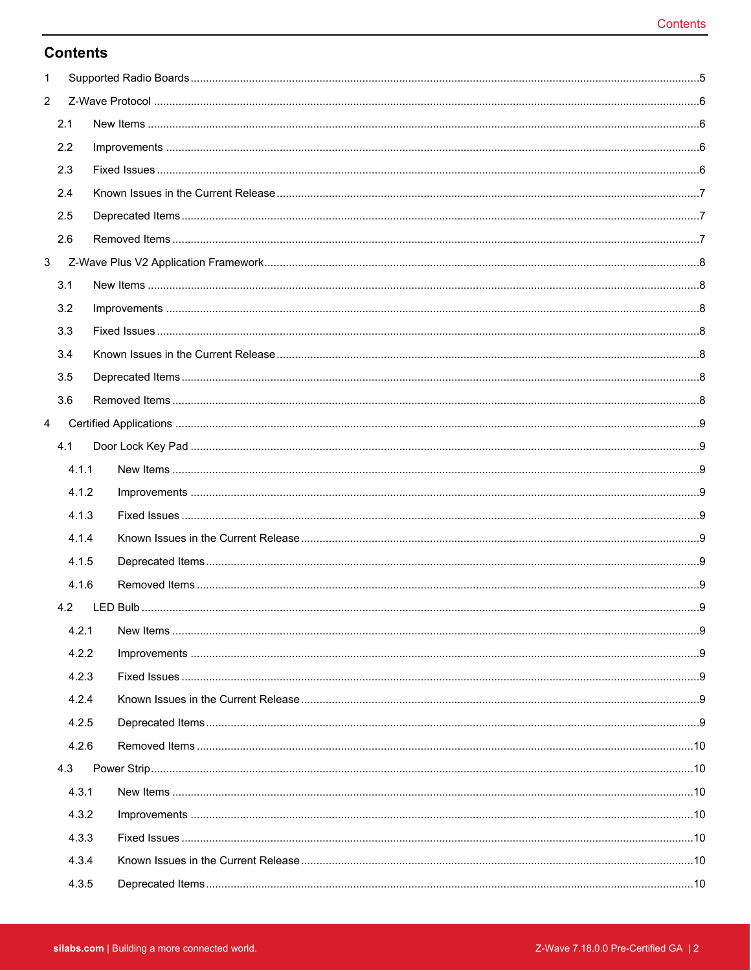# **Contents**

| 1              |       |  |
|----------------|-------|--|
| $\overline{2}$ |       |  |
|                | 2.1   |  |
|                | 2.2   |  |
|                | 2.3   |  |
|                | 2.4   |  |
|                | 2.5   |  |
|                | 2.6   |  |
| 3              |       |  |
|                | 3.1   |  |
|                | 3.2   |  |
|                | 3.3   |  |
|                | 3.4   |  |
|                | 3.5   |  |
|                | 3.6   |  |
| $\overline{4}$ |       |  |
|                | 4.1   |  |
|                | 4.1.1 |  |
|                | 4.1.2 |  |
|                | 4.1.3 |  |
|                | 4.1.4 |  |
|                | 4.1.5 |  |
|                | 4.1.6 |  |
|                | 4.2   |  |
|                | 4.2.1 |  |
|                | 4.2.2 |  |
|                | 4.2.3 |  |
|                | 4.2.4 |  |
|                | 4.2.5 |  |
|                | 4.2.6 |  |
|                | 4.3   |  |
|                | 4.3.1 |  |
|                | 4.3.2 |  |
|                | 4.3.3 |  |
|                | 4.3.4 |  |
|                |       |  |
|                | 4.3.5 |  |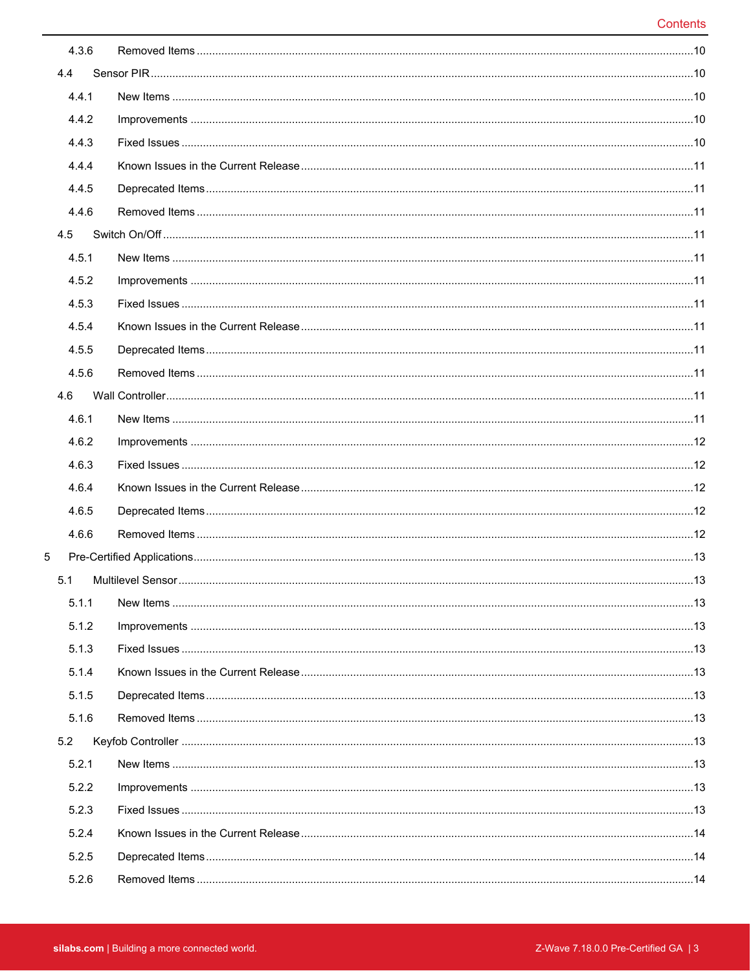| 4.3.6 |  |
|-------|--|
| 4.4   |  |
| 4.4.1 |  |
| 4.4.2 |  |
| 4.4.3 |  |
| 4.4.4 |  |
| 4.4.5 |  |
| 4.4.6 |  |
| 4.5   |  |
| 4.5.1 |  |
| 4.5.2 |  |
| 4.5.3 |  |
| 4.5.4 |  |
| 4.5.5 |  |
| 4.5.6 |  |
| 4.6   |  |
| 4.6.1 |  |
| 4.6.2 |  |
| 4.6.3 |  |
| 4.6.4 |  |
| 4.6.5 |  |
| 4.6.6 |  |
| 5     |  |
| 5.1   |  |
| 5.1.1 |  |
| 5.1.2 |  |
| 5.1.3 |  |
| 5.1.4 |  |
| 5.1.5 |  |
| 5.1.6 |  |
| 5.2   |  |
| 5.2.1 |  |
| 5.2.2 |  |
| 5.2.3 |  |
| 5.2.4 |  |
| 5.2.5 |  |
| 5.2.6 |  |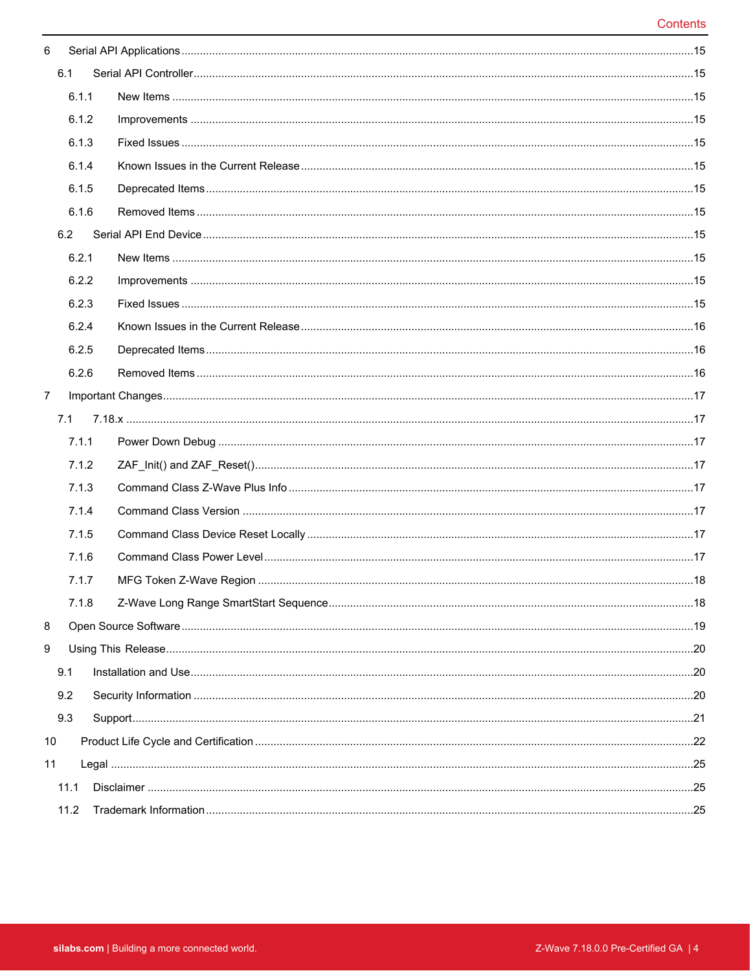| 6              |       |  |  |
|----------------|-------|--|--|
|                | 6.1   |  |  |
|                | 6.1.1 |  |  |
|                | 6.1.2 |  |  |
|                | 6.1.3 |  |  |
|                | 6.1.4 |  |  |
|                | 6.1.5 |  |  |
|                | 6.1.6 |  |  |
|                | 6.2   |  |  |
|                | 6.2.1 |  |  |
|                | 6.2.2 |  |  |
|                | 6.2.3 |  |  |
|                | 6.2.4 |  |  |
|                | 6.2.5 |  |  |
|                | 6.2.6 |  |  |
| $\overline{7}$ |       |  |  |
|                | 7.1   |  |  |
|                | 7.1.1 |  |  |
|                | 7.1.2 |  |  |
|                | 7.1.3 |  |  |
|                | 7.1.4 |  |  |
|                | 7.1.5 |  |  |
|                | 7.1.6 |  |  |
|                | 7.1.7 |  |  |
|                | 7.1.8 |  |  |
| 8              |       |  |  |
| 9              |       |  |  |
|                | 9.1   |  |  |
|                | 9.2   |  |  |
|                | 9.3   |  |  |
| 10             |       |  |  |
| 11             |       |  |  |
|                | 11.1  |  |  |
|                | 11.2  |  |  |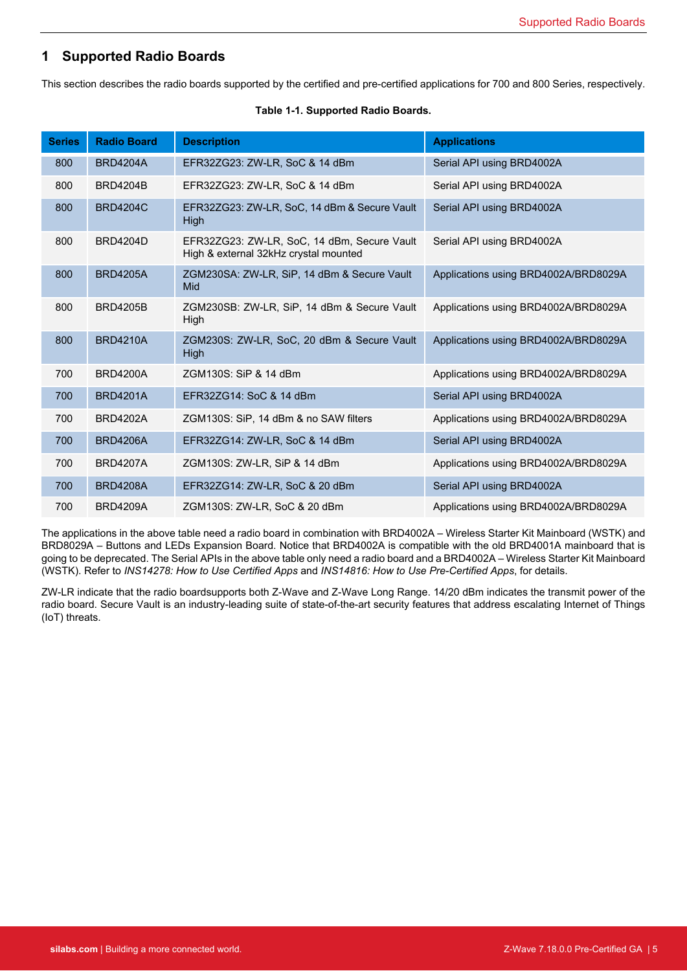# <span id="page-4-0"></span>**1 Supported Radio Boards**

This section describes the radio boards supported by the certified and pre-certified applications for 700 and 800 Series, respectively.

| <b>Series</b> | <b>Radio Board</b> | <b>Description</b>                                                                   | <b>Applications</b>                  |
|---------------|--------------------|--------------------------------------------------------------------------------------|--------------------------------------|
| 800           | <b>BRD4204A</b>    | EFR32ZG23: ZW-LR, SoC & 14 dBm                                                       | Serial API using BRD4002A            |
| 800           | <b>BRD4204B</b>    | EFR32ZG23: ZW-LR, SoC & 14 dBm                                                       | Serial API using BRD4002A            |
| 800           | <b>BRD4204C</b>    | EFR32ZG23: ZW-LR, SoC, 14 dBm & Secure Vault<br>High                                 | Serial API using BRD4002A            |
| 800           | <b>BRD4204D</b>    | EFR32ZG23: ZW-LR, SoC, 14 dBm, Secure Vault<br>High & external 32kHz crystal mounted | Serial API using BRD4002A            |
| 800           | <b>BRD4205A</b>    | ZGM230SA: ZW-LR, SiP, 14 dBm & Secure Vault<br>Mid                                   | Applications using BRD4002A/BRD8029A |
| 800           | <b>BRD4205B</b>    | ZGM230SB: ZW-LR, SiP, 14 dBm & Secure Vault<br>High                                  | Applications using BRD4002A/BRD8029A |
| 800           | <b>BRD4210A</b>    | ZGM230S: ZW-LR, SoC, 20 dBm & Secure Vault<br><b>High</b>                            | Applications using BRD4002A/BRD8029A |
| 700           | <b>BRD4200A</b>    | ZGM130S: SiP & 14 dBm                                                                | Applications using BRD4002A/BRD8029A |
| 700           | <b>BRD4201A</b>    | EFR32ZG14: SoC & 14 dBm                                                              | Serial API using BRD4002A            |
| 700           | <b>BRD4202A</b>    | ZGM130S: SiP, 14 dBm & no SAW filters                                                | Applications using BRD4002A/BRD8029A |
| 700           | <b>BRD4206A</b>    | EFR32ZG14: ZW-LR, SoC & 14 dBm                                                       | Serial API using BRD4002A            |
| 700           | <b>BRD4207A</b>    | ZGM130S: ZW-LR, SiP & 14 dBm                                                         | Applications using BRD4002A/BRD8029A |
| 700           | <b>BRD4208A</b>    | EFR32ZG14: ZW-LR, SoC & 20 dBm                                                       | Serial API using BRD4002A            |
| 700           | <b>BRD4209A</b>    | ZGM130S: ZW-LR, SoC & 20 dBm                                                         | Applications using BRD4002A/BRD8029A |

#### **Table 1-1. Supported Radio Boards.**

The applications in the above table need a radio board in combination with BRD4002A – Wireless Starter Kit Mainboard (WSTK) and BRD8029A – Buttons and LEDs Expansion Board. Notice that BRD4002A is compatible with the old BRD4001A mainboard that is going to be deprecated. The Serial APIs in the above table only need a radio board and a BRD4002A – Wireless Starter Kit Mainboard (WSTK). Refer to *INS14278: How to Use Certified Apps* and *INS14816: How to Use Pre-Certified Apps*, for details.

ZW-LR indicate that the radio boardsupports both Z-Wave and Z-Wave Long Range. 14/20 dBm indicates the transmit power of the radio board. Secure Vault is an industry-leading suite of state-of-the-art security features that address escalating Internet of Things (IoT) threats.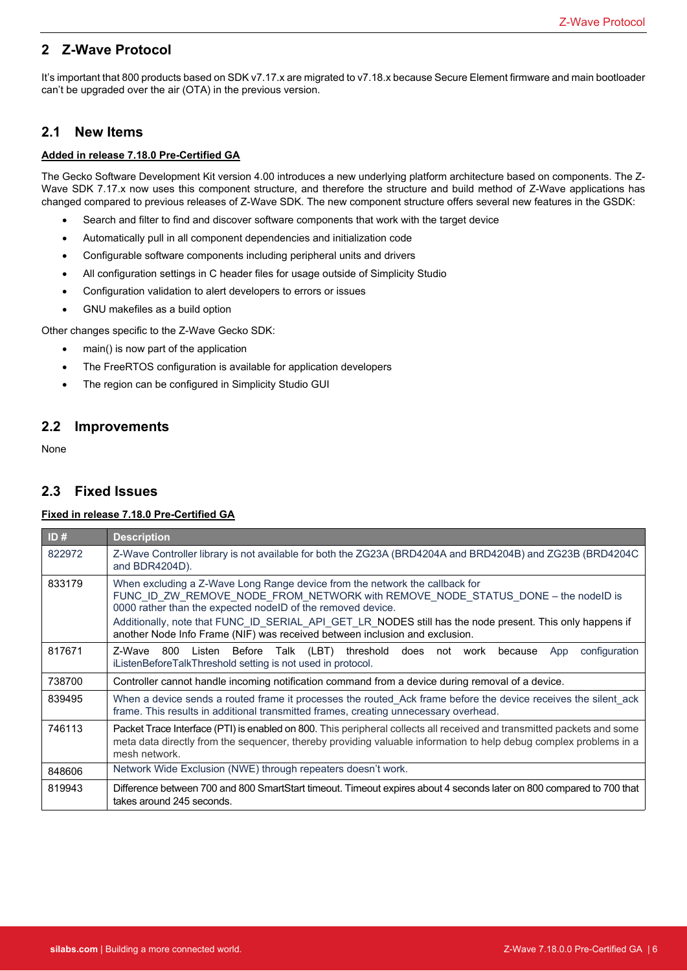# <span id="page-5-1"></span><span id="page-5-0"></span>**2 Z-Wave Protocol**

It's important that 800 products based on SDK v7.17.x are migrated to v7.18.x because Secure Element firmware and main bootloader can't be upgraded over the air (OTA) in the previous version.

### **2.1 New Items**

#### **Added in release 7.18.0 Pre-Certified GA**

The Gecko Software Development Kit version 4.00 introduces a new underlying platform architecture based on components. The Z-Wave SDK 7.17.x now uses this component structure, and therefore the structure and build method of Z-Wave applications has changed compared to previous releases of Z-Wave SDK. The new component structure offers several new features in the GSDK:

- Search and filter to find and discover software components that work with the target device
- Automatically pull in all component dependencies and initialization code
- Configurable software components including peripheral units and drivers
- All configuration settings in C header files for usage outside of Simplicity Studio
- Configuration validation to alert developers to errors or issues
- GNU makefiles as a build option

<span id="page-5-2"></span>Other changes specific to the Z-Wave Gecko SDK:

- main() is now part of the application
- The FreeRTOS configuration is available for application developers
- The region can be configured in Simplicity Studio GUI

# <span id="page-5-3"></span>**2.2 Improvements**

None

# **2.3 Fixed Issues**

#### **Fixed in release 7.18.0 Pre-Certified GA**

| ID#    | <b>Description</b>                                                                                                                                                                                                                                                                                                                                                                                                        |  |
|--------|---------------------------------------------------------------------------------------------------------------------------------------------------------------------------------------------------------------------------------------------------------------------------------------------------------------------------------------------------------------------------------------------------------------------------|--|
| 822972 | Z-Wave Controller library is not available for both the ZG23A (BRD4204A and BRD4204B) and ZG23B (BRD4204C<br>and BDR4204D).                                                                                                                                                                                                                                                                                               |  |
| 833179 | When excluding a Z-Wave Long Range device from the network the callback for<br>FUNC ID ZW REMOVE NODE FROM NETWORK with REMOVE NODE STATUS DONE - the nodelD is<br>0000 rather than the expected nodeID of the removed device.<br>Additionally, note that FUNC ID SERIAL API GET LR NODES still has the node present. This only happens if<br>another Node Info Frame (NIF) was received between inclusion and exclusion. |  |
| 817671 | Z-Wave 800 Listen Before Talk (LBT) threshold does not work because<br>configuration<br>App<br>iListenBeforeTalkThreshold setting is not used in protocol.                                                                                                                                                                                                                                                                |  |
| 738700 | Controller cannot handle incoming notification command from a device during removal of a device.                                                                                                                                                                                                                                                                                                                          |  |
| 839495 | When a device sends a routed frame it processes the routed_Ack frame before the device receives the silent_ack<br>frame. This results in additional transmitted frames, creating unnecessary overhead.                                                                                                                                                                                                                    |  |
| 746113 | Packet Trace Interface (PTI) is enabled on 800. This peripheral collects all received and transmitted packets and some<br>meta data directly from the sequencer, thereby providing valuable information to help debug complex problems in a<br>mesh network.                                                                                                                                                              |  |
| 848606 | Network Wide Exclusion (NWE) through repeaters doesn't work.                                                                                                                                                                                                                                                                                                                                                              |  |
| 819943 | Difference between 700 and 800 SmartStart timeout. Timeout expires about 4 seconds later on 800 compared to 700 that<br>takes around 245 seconds.                                                                                                                                                                                                                                                                         |  |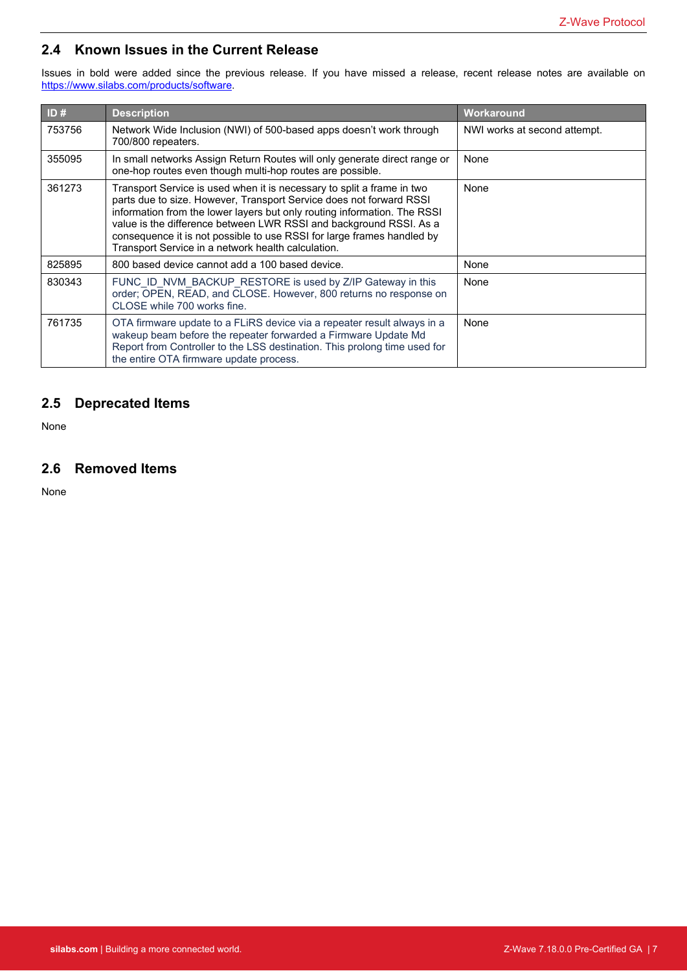# <span id="page-6-0"></span>**2.4 Known Issues in the Current Release**

Issues in bold were added since the previous release. If you have missed a release, recent release notes are available on <https://www.silabs.com/products/software>.

| ID#    | <b>Description</b>                                                                                                                                                                                                                                                                                                                                                                                                              | Workaround                   |
|--------|---------------------------------------------------------------------------------------------------------------------------------------------------------------------------------------------------------------------------------------------------------------------------------------------------------------------------------------------------------------------------------------------------------------------------------|------------------------------|
| 753756 | Network Wide Inclusion (NWI) of 500-based apps doesn't work through<br>700/800 repeaters.                                                                                                                                                                                                                                                                                                                                       | NWI works at second attempt. |
| 355095 | In small networks Assign Return Routes will only generate direct range or<br>one-hop routes even though multi-hop routes are possible.                                                                                                                                                                                                                                                                                          | None                         |
| 361273 | Transport Service is used when it is necessary to split a frame in two<br>parts due to size. However, Transport Service does not forward RSSI<br>information from the lower layers but only routing information. The RSSI<br>value is the difference between LWR RSSI and background RSSI. As a<br>consequence it is not possible to use RSSI for large frames handled by<br>Transport Service in a network health calculation. | None                         |
| 825895 | 800 based device cannot add a 100 based device.                                                                                                                                                                                                                                                                                                                                                                                 | None                         |
| 830343 | FUNC_ID_NVM_BACKUP_RESTORE is used by Z/IP Gateway in this<br>order; OPEN, READ, and CLOSE. However, 800 returns no response on<br>CLOSE while 700 works fine.                                                                                                                                                                                                                                                                  | None                         |
| 761735 | OTA firmware update to a FLIRS device via a repeater result always in a<br>wakeup beam before the repeater forwarded a Firmware Update Md<br>Report from Controller to the LSS destination. This prolong time used for<br>the entire OTA firmware update process.                                                                                                                                                               | None                         |

# <span id="page-6-2"></span><span id="page-6-1"></span>**2.5 Deprecated Items**

None

# **2.6 Removed Items**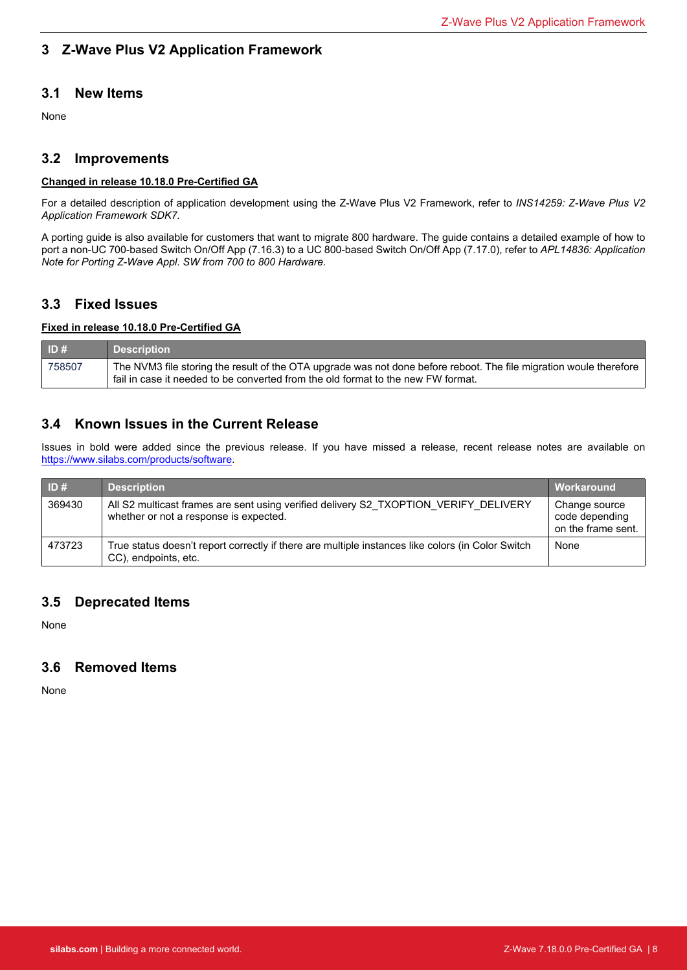# <span id="page-7-1"></span><span id="page-7-0"></span>**3 Z-Wave Plus V2 Application Framework**

# <span id="page-7-2"></span>**3.1 New Items**

None

# **3.2 Improvements**

# **Changed in release 10.18.0 Pre-Certified GA**

<span id="page-7-3"></span>For a detailed description of application development using the Z-Wave Plus V2 Framework, refer to *INS14259: Z-Wave Plus V2 Application Framework SDK7.*

A porting guide is also available for customers that want to migrate 800 hardware. The guide contains a detailed example of how to port a non-UC 700-based Switch On/Off App (7.16.3) to a UC 800-based Switch On/Off App (7.17.0), refer to *APL14836: Application Note for Porting Z-Wave Appl. SW from 700 to 800 Hardware.*

# **3.3 Fixed Issues**

#### <span id="page-7-4"></span>**Fixed in release 10.18.0 Pre-Certified GA**

| ID#    | <b>Description</b>                                                                                                                                                                                     |
|--------|--------------------------------------------------------------------------------------------------------------------------------------------------------------------------------------------------------|
| 758507 | The NVM3 file storing the result of the OTA upgrade was not done before reboot. The file migration woule therefore<br>fail in case it needed to be converted from the old format to the new FW format. |

# **3.4 Known Issues in the Current Release**

Issues in bold were added since the previous release. If you have missed a release, recent release notes are available on <https://www.silabs.com/products/software>.

<span id="page-7-5"></span>

| ID#    | <b>Description</b>                                                                                                             | ∣ Workaround                                          |
|--------|--------------------------------------------------------------------------------------------------------------------------------|-------------------------------------------------------|
| 369430 | All S2 multicast frames are sent using verified delivery S2 TXOPTION VERIFY DELIVERY<br>whether or not a response is expected. | Change source<br>code depending<br>on the frame sent. |
| 473723 | True status doesn't report correctly if there are multiple instances like colors (in Color Switch<br>CC), endpoints, etc.      | None                                                  |

# <span id="page-7-6"></span>**3.5 Deprecated Items**

None

# **3.6 Removed Items**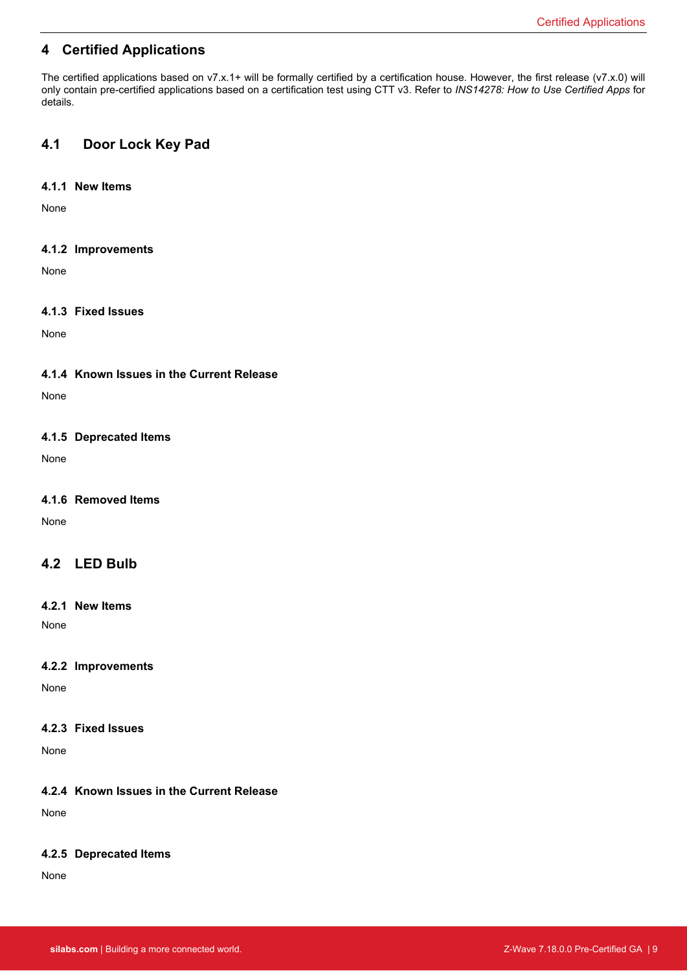# <span id="page-8-1"></span><span id="page-8-0"></span>**4 Certified Applications**

<span id="page-8-2"></span>The certified applications based on v7.x.1+ will be formally certified by a certification house. However, the first release (v7.x.0) will only contain pre-certified applications based on a certification test using CTT v3. Refer to *INS14278: How to Use Certified Apps* for details.

# <span id="page-8-3"></span>**4.1 Door Lock Key Pad**

#### **4.1.1 New Items**

<span id="page-8-4"></span>None

#### **4.1.2 Improvements**

<span id="page-8-5"></span>None

### **4.1.3 Fixed Issues**

<span id="page-8-6"></span>None

#### **4.1.4 Known Issues in the Current Release**

<span id="page-8-7"></span>None

#### **4.1.5 Deprecated Items**

<span id="page-8-8"></span>None

#### **4.1.6 Removed Items**

<span id="page-8-9"></span>None

# <span id="page-8-10"></span>**4.2 LED Bulb**

#### **4.2.1 New Items**

<span id="page-8-11"></span>None

#### **4.2.2 Improvements**

<span id="page-8-12"></span>None

#### **4.2.3 Fixed Issues**

<span id="page-8-13"></span>None

### **4.2.4 Known Issues in the Current Release**

None

#### **4.2.5 Deprecated Items**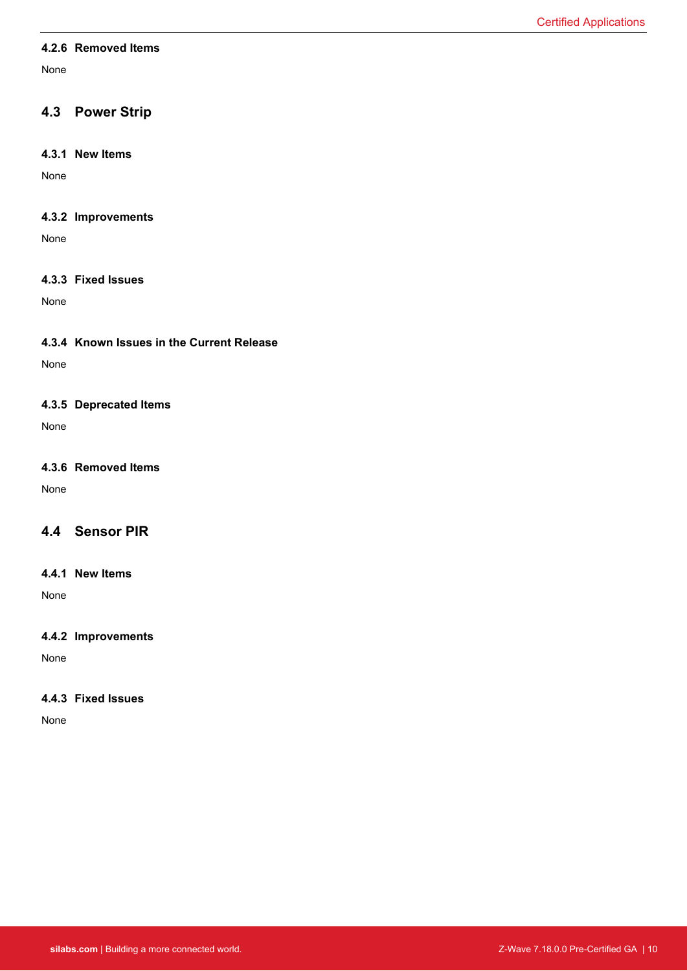#### <span id="page-9-1"></span><span id="page-9-0"></span>**4.2.6 Removed Items**

<span id="page-9-2"></span>None

# <span id="page-9-3"></span>**4.3 Power Strip**

#### **4.3.1 New Items**

<span id="page-9-4"></span>None

### **4.3.2 Improvements**

<span id="page-9-5"></span>None

#### **4.3.3 Fixed Issues**

<span id="page-9-6"></span>None

### **4.3.4 Known Issues in the Current Release**

<span id="page-9-7"></span>None

#### **4.3.5 Deprecated Items**

<span id="page-9-8"></span>None

### **4.3.6 Removed Items**

<span id="page-9-9"></span>None

# <span id="page-9-10"></span>**4.4 Sensor PIR**

#### **4.4.1 New Items**

<span id="page-9-11"></span>None

#### **4.4.2 Improvements**

None

### **4.4.3 Fixed Issues**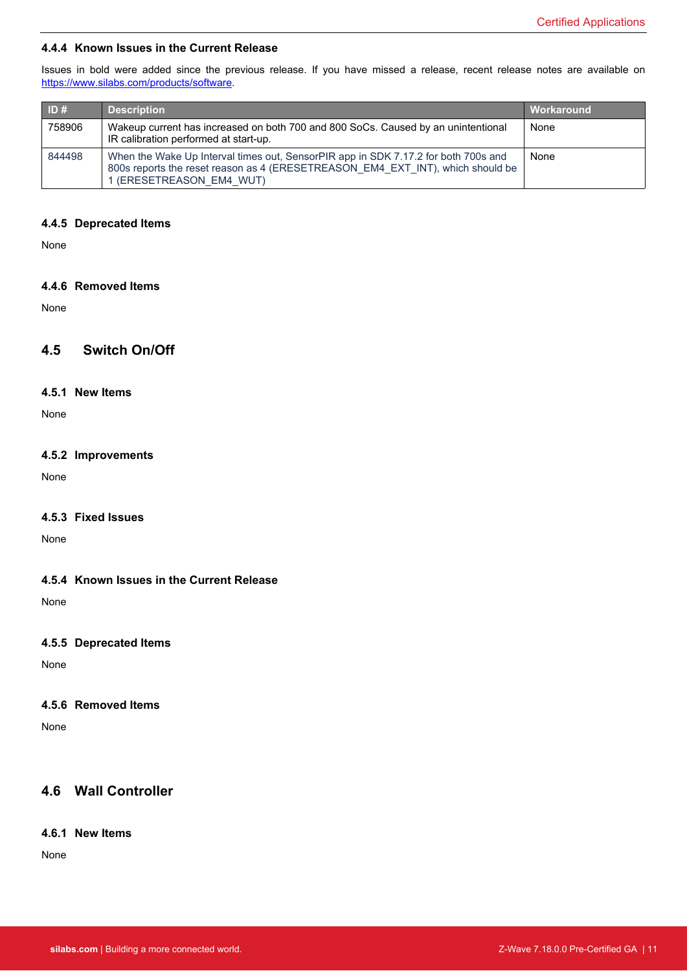#### <span id="page-10-0"></span>**4.4.4 Known Issues in the Current Release**

Issues in bold were added since the previous release. If you have missed a release, recent release notes are available on <https://www.silabs.com/products/software>.

<span id="page-10-1"></span>

| ID#    | <b>Description</b>                                                                                                                                                                               | Workaround |
|--------|--------------------------------------------------------------------------------------------------------------------------------------------------------------------------------------------------|------------|
| 758906 | Wakeup current has increased on both 700 and 800 SoCs. Caused by an unintentional<br>IR calibration performed at start-up.                                                                       | None       |
| 844498 | When the Wake Up Interval times out, SensorPIR app in SDK 7.17.2 for both 700s and<br>800s reports the reset reason as 4 (ERESETREASON EM4 EXT INT), which should be<br>1 (ERESETREASON EM4 WUT) | None       |

#### <span id="page-10-2"></span>**4.4.5 Deprecated Items**

<span id="page-10-3"></span>None

#### **4.4.6 Removed Items**

<span id="page-10-4"></span>None

# <span id="page-10-5"></span>**4.5 Switch On/Off**

#### **4.5.1 New Items**

<span id="page-10-6"></span>None

#### **4.5.2 Improvements**

<span id="page-10-7"></span>None

#### **4.5.3 Fixed Issues**

<span id="page-10-8"></span>None

#### **4.5.4 Known Issues in the Current Release**

<span id="page-10-9"></span>None

#### **4.5.5 Deprecated Items**

None

#### <span id="page-10-10"></span>**4.5.6 Removed Items**

<span id="page-10-11"></span>None

### **4.6 Wall Controller**

### **4.6.1 New Items**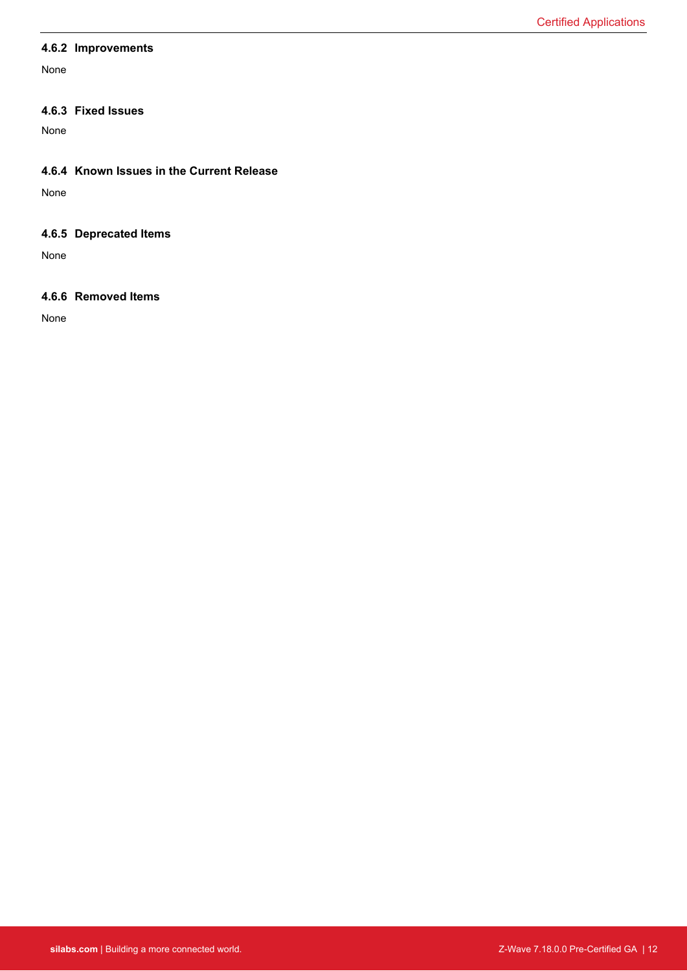#### <span id="page-11-1"></span><span id="page-11-0"></span>**4.6.2 Improvements**

<span id="page-11-2"></span>None

#### **4.6.3 Fixed Issues**

<span id="page-11-3"></span>None

#### **4.6.4 Known Issues in the Current Release**

<span id="page-11-4"></span>None

### **4.6.5 Deprecated Items**

None

#### **4.6.6 Removed Items**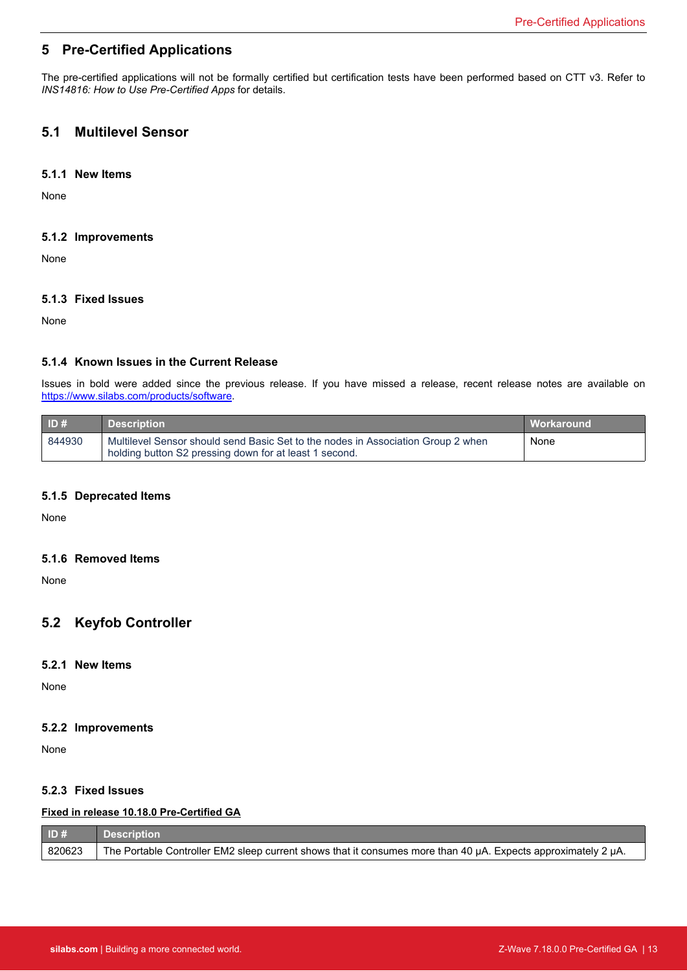# <span id="page-12-1"></span><span id="page-12-0"></span>**5 Pre-Certified Applications**

<span id="page-12-2"></span>The pre-certified applications will not be formally certified but certification tests have been performed based on CTT v3. Refer to *INS14816: How to Use Pre-Certified Apps* for details.

# <span id="page-12-3"></span>**5.1 Multilevel Sensor**

#### **5.1.1 New Items**

<span id="page-12-4"></span>None

#### **5.1.2 Improvements**

<span id="page-12-5"></span>None

### **5.1.3 Fixed Issues**

None

### **5.1.4 Known Issues in the Current Release**

Issues in bold were added since the previous release. If you have missed a release, recent release notes are available on <https://www.silabs.com/products/software>.

<span id="page-12-6"></span>

| ID#    | <b>Description</b>                                                                                                                         | Workaround |
|--------|--------------------------------------------------------------------------------------------------------------------------------------------|------------|
| 844930 | Multilevel Sensor should send Basic Set to the nodes in Association Group 2 when<br>holding button S2 pressing down for at least 1 second. | None       |

#### <span id="page-12-7"></span>**5.1.5 Deprecated Items**

<span id="page-12-8"></span>None

#### **5.1.6 Removed Items**

<span id="page-12-9"></span>None

# <span id="page-12-10"></span>**5.2 Keyfob Controller**

#### **5.2.1 New Items**

<span id="page-12-11"></span>None

#### **5.2.2 Improvements**

None

#### **5.2.3 Fixed Issues**

#### **Fixed in release 10.18.0 Pre-Certified GA**

| ID#    | <b>Description</b>                                                                                            |
|--------|---------------------------------------------------------------------------------------------------------------|
| 820623 | The Portable Controller EM2 sleep current shows that it consumes more than 40 µA. Expects approximately 2 µA. |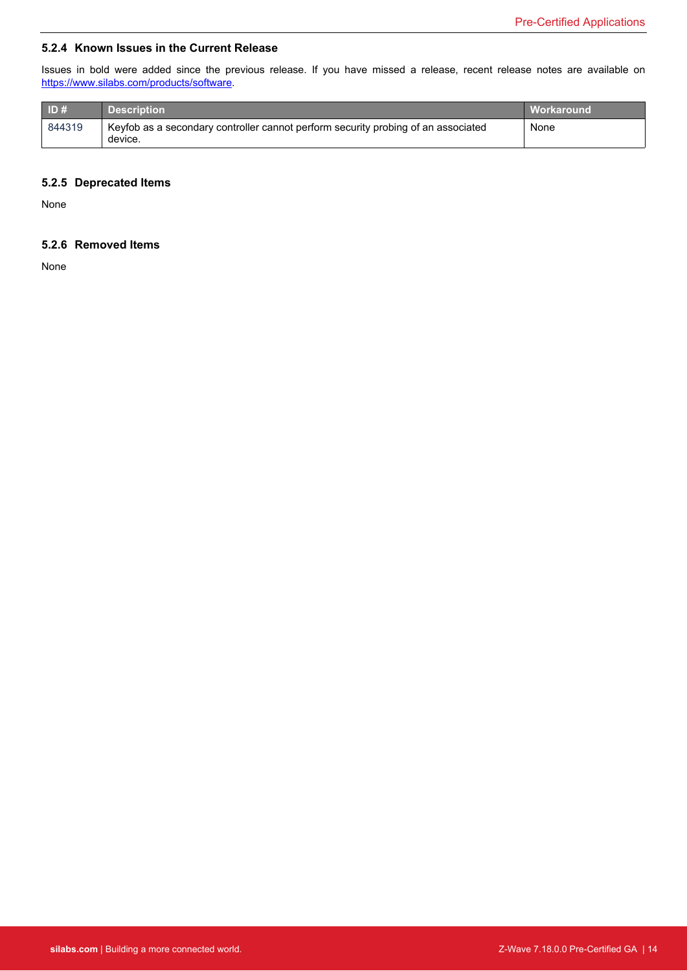#### <span id="page-13-0"></span>**5.2.4 Known Issues in the Current Release**

Issues in bold were added since the previous release. If you have missed a release, recent release notes are available on <https://www.silabs.com/products/software>.

<span id="page-13-1"></span>

| ID#    | <b>Description</b>                                                                           | <b>Workaround</b> |
|--------|----------------------------------------------------------------------------------------------|-------------------|
| 844319 | Keyfob as a secondary controller cannot perform security probing of an associated<br>device. | None              |

#### <span id="page-13-2"></span>**5.2.5 Deprecated Items**

None

### **5.2.6 Removed Items**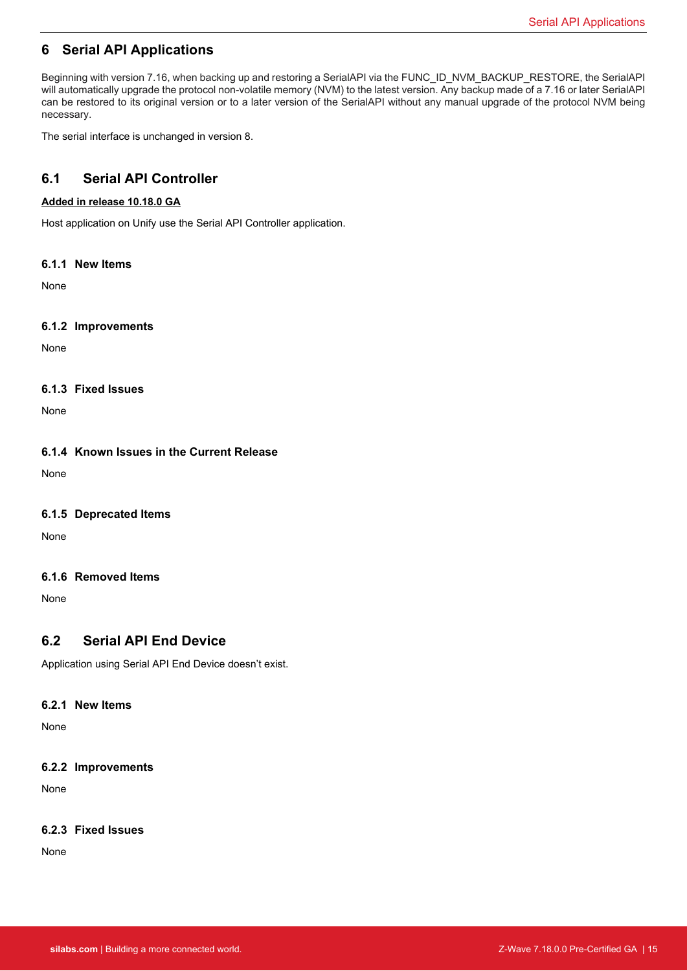# <span id="page-14-0"></span>**6 Serial API Applications**

<span id="page-14-1"></span>Beginning with version 7.16, when backing up and restoring a SerialAPI via the FUNC\_ID\_NVM\_BACKUP\_RESTORE, the SerialAPI will automatically upgrade the protocol non-volatile memory (NVM) to the latest version. Any backup made of a 7.16 or later SerialAPI can be restored to its original version or to a later version of the SerialAPI without any manual upgrade of the protocol NVM being necessary.

The serial interface is unchanged in version 8.

# <span id="page-14-2"></span>**6.1 Serial API Controller**

#### **Added in release 10.18.0 GA**

<span id="page-14-3"></span>Host application on Unify use the Serial API Controller application.

#### **6.1.1 New Items**

<span id="page-14-4"></span>None

#### **6.1.2 Improvements**

<span id="page-14-5"></span>None

#### **6.1.3 Fixed Issues**

<span id="page-14-6"></span>None

#### **6.1.4 Known Issues in the Current Release**

<span id="page-14-7"></span>None

#### **6.1.5 Deprecated Items**

<span id="page-14-8"></span>None

#### **6.1.6 Removed Items**

<span id="page-14-9"></span>None

### **6.2 Serial API End Device**

<span id="page-14-10"></span>Application using Serial API End Device doesn't exist.

#### **6.2.1 New Items**

<span id="page-14-11"></span>None

#### **6.2.2 Improvements**

None

#### **6.2.3 Fixed Issues**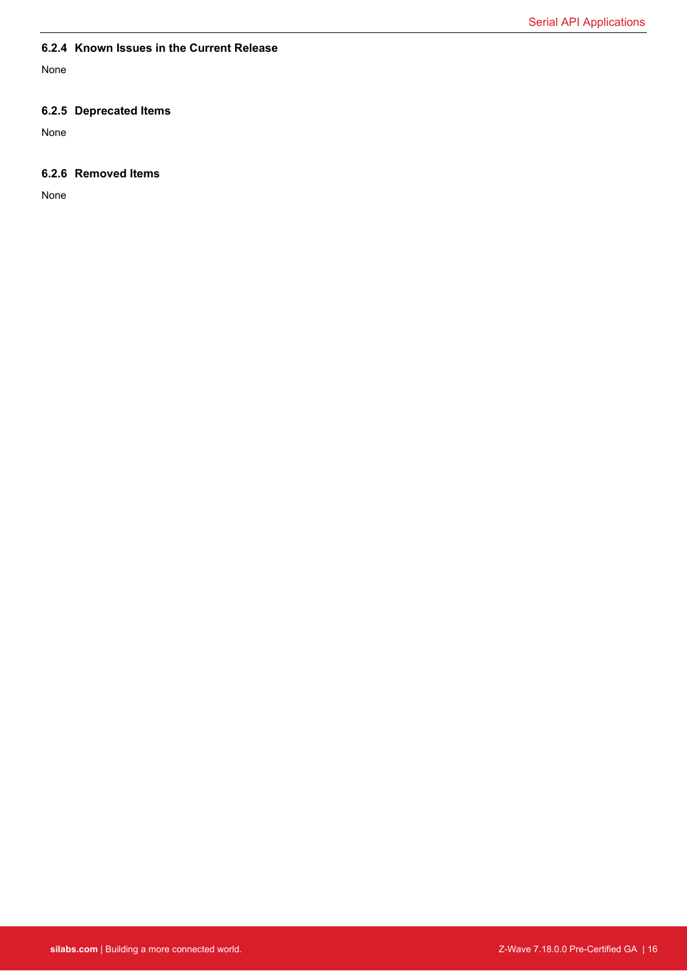#### <span id="page-15-1"></span><span id="page-15-0"></span>**6.2.4 Known Issues in the Current Release**

<span id="page-15-2"></span>None

### **6.2.5 Deprecated Items**

None

### **6.2.6 Removed Items**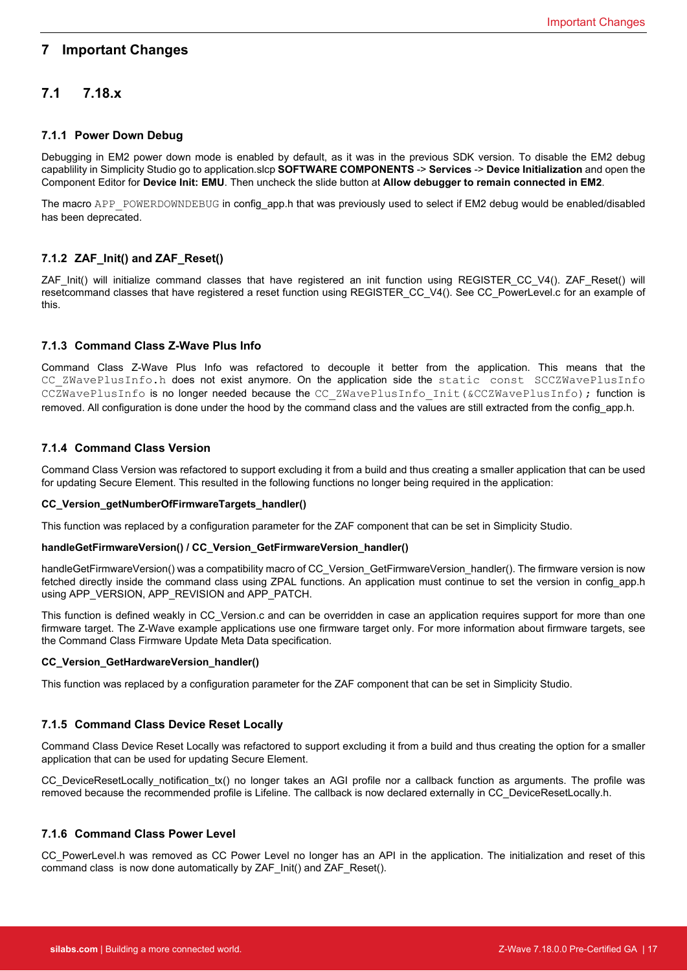#### Important Changes

### <span id="page-16-2"></span><span id="page-16-1"></span><span id="page-16-0"></span>**7 Important Changes**

# **7.1 7.18.x**

#### **7.1.1 Power Down Debug**

<span id="page-16-3"></span>Debugging in EM2 power down mode is enabled by default, as it was in the previous SDK version. To disable the EM2 debug capablility in Simplicity Studio go to application.slcp **SOFTWARE COMPONENTS** -> **Services** -> **Device Initialization** and open the Component Editor for **Device Init: EMU**. Then uncheck the slide button at **Allow debugger to remain connected in EM2**.

The macro APP\_POWERDOWNDEBUG in config\_app.h that was previously used to select if EM2 debug would be enabled/disabled has been deprecated.

#### <span id="page-16-4"></span>**7.1.2 ZAF\_Init() and ZAF\_Reset()**

ZAF Init() will initialize command classes that have registered an init function using REGISTER CC V4(). ZAF Reset() will resetcommand classes that have registered a reset function using REGISTER\_CC\_V4(). See CC\_PowerLevel.c for an example of this.

#### **7.1.3 Command Class Z-Wave Plus Info**

<span id="page-16-5"></span>Command Class Z-Wave Plus Info was refactored to decouple it better from the application. This means that the CC ZWavePlusInfo.h does not exist anymore. On the application side the static const SCCZWavePlusInfo CCZWavePlusInfo is no longer needed because the CC\_ZWavePlusInfo\_Init(&CCZWavePlusInfo); function is removed. All configuration is done under the hood by the command class and the values are still extracted from the config\_app.h.

#### **7.1.4 Command Class Version**

Command Class Version was refactored to support excluding it from a build and thus creating a smaller application that can be used for updating Secure Element. This resulted in the following functions no longer being required in the application:

#### **CC\_Version\_getNumberOfFirmwareTargets\_handler()**

This function was replaced by a configuration parameter for the ZAF component that can be set in Simplicity Studio.

#### **handleGetFirmwareVersion() / CC\_Version\_GetFirmwareVersion\_handler()**

handleGetFirmwareVersion() was a compatibility macro of CC\_Version\_GetFirmwareVersion\_handler(). The firmware version is now fetched directly inside the command class using ZPAL functions. An application must continue to set the version in config app.h using APP\_VERSION, APP\_REVISION and APP\_PATCH.

<span id="page-16-6"></span>This function is defined weakly in CC\_Version.c and can be overridden in case an application requires support for more than one firmware target. The Z-Wave example applications use one firmware target only. For more information about firmware targets, see the Command Class Firmware Update Meta Data specification.

#### **CC\_Version\_GetHardwareVersion\_handler()**

This function was replaced by a configuration parameter for the ZAF component that can be set in Simplicity Studio.

#### **7.1.5 Command Class Device Reset Locally**

<span id="page-16-7"></span>Command Class Device Reset Locally was refactored to support excluding it from a build and thus creating the option for a smaller application that can be used for updating Secure Element.

CC\_DeviceResetLocally\_notification\_tx() no longer takes an AGI profile nor a callback function as arguments. The profile was removed because the recommended profile is Lifeline. The callback is now declared externally in CC\_DeviceResetLocally.h.

#### **7.1.6 Command Class Power Level**

CC PowerLevel.h was removed as CC Power Level no longer has an API in the application. The initialization and reset of this command class is now done automatically by ZAF\_Init() and ZAF\_Reset().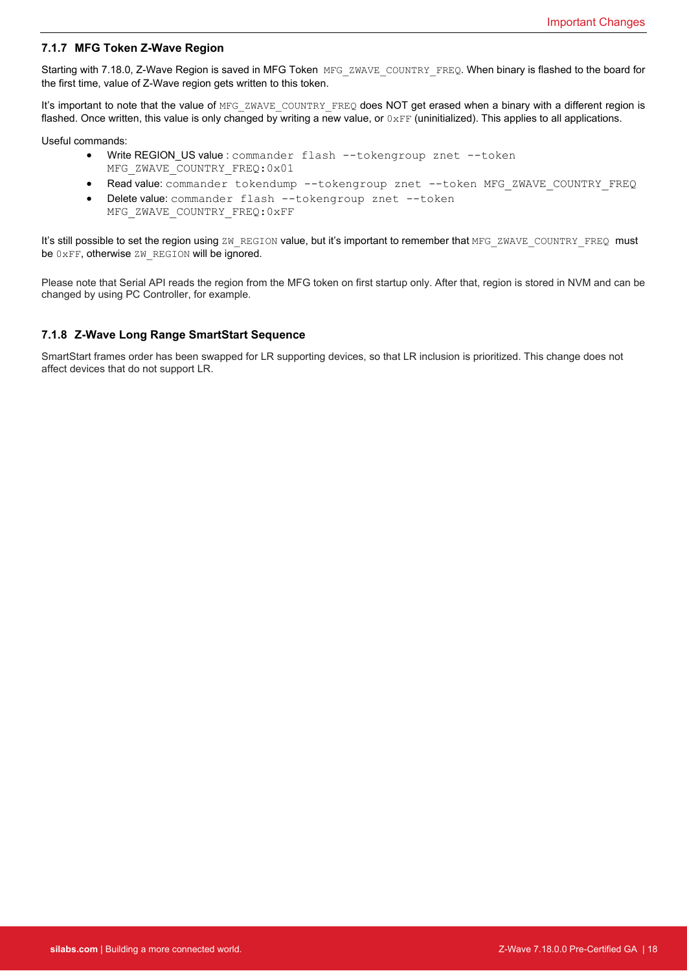#### <span id="page-17-0"></span>**7.1.7 MFG Token Z-Wave Region**

Starting with 7.18.0, Z-Wave Region is saved in MFG Token MFG ZWAVE COUNTRY FREQ. When binary is flashed to the board for the first time, value of Z-Wave region gets written to this token.

It's important to note that the value of MFG\_ZWAVE\_COUNTRY\_FREQ does NOT get erased when a binary with a different region is flashed. Once written, this value is only changed by writing a new value, or  $0 \times FF$  (uninitialized). This applies to all applications.

Useful commands:

- Write REGION\_US value : commander flash --tokengroup znet --token MFG\_ZWAVE\_COUNTRY\_FREQ:0x01
- Read value: commander tokendump --tokengroup znet --token MFG\_ZWAVE\_COUNTRY\_FREQ
- Delete value: commander flash --tokengroup znet --token MFG\_ZWAVE\_COUNTRY\_FREQ:0xFF

<span id="page-17-1"></span>It's still possible to set the region using ZW\_REGION value, but it's important to remember that MFG\_ZWAVE\_COUNTRY\_FREQ must be 0xFF, otherwise ZW\_REGION will be ignored.

Please note that Serial API reads the region from the MFG token on first startup only. After that, region is stored in NVM and can be changed by using PC Controller, for example.

#### **7.1.8 Z-Wave Long Range SmartStart Sequence**

SmartStart frames order has been swapped for LR supporting devices, so that LR inclusion is prioritized. This change does not affect devices that do not support LR.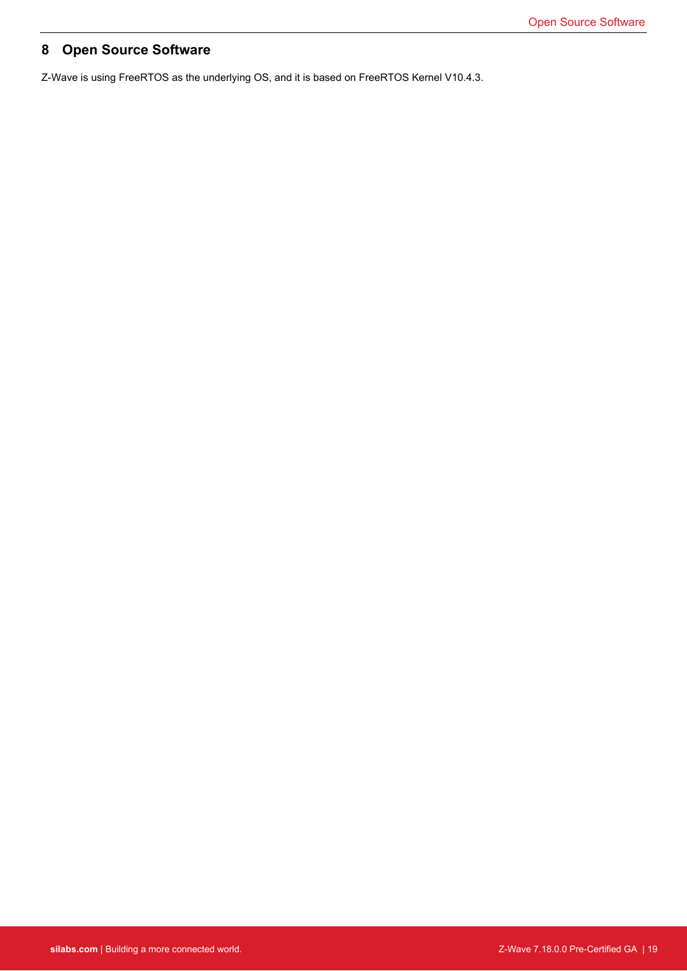# <span id="page-18-0"></span>**8 Open Source Software**

Z-Wave is using FreeRTOS as the underlying OS, and it is based on FreeRTOS Kernel V10.4.3.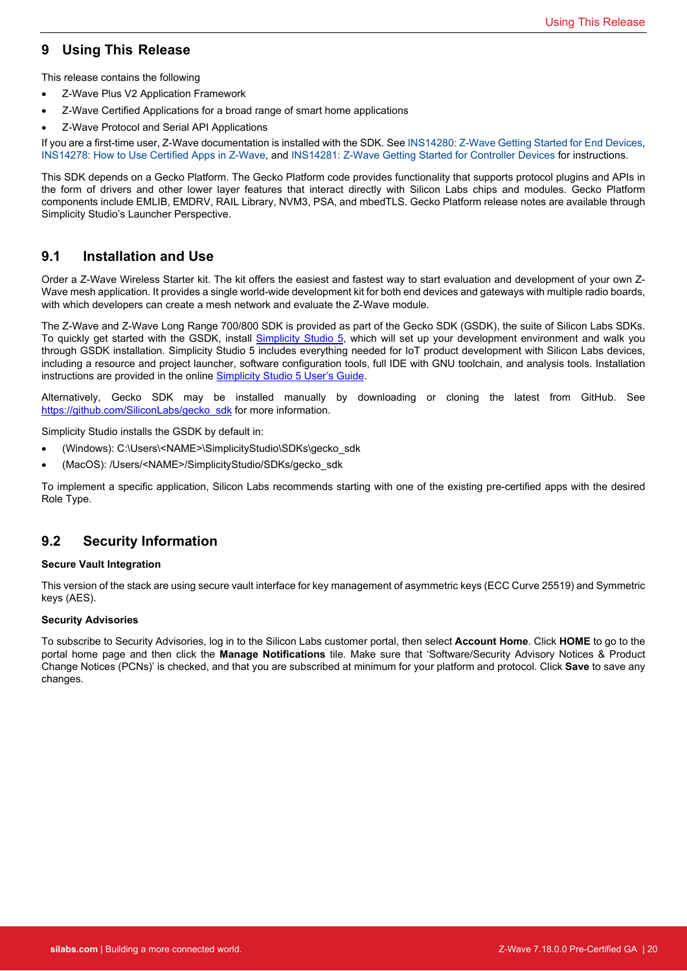# <span id="page-19-0"></span>**9 Using This Release**

This release contains the following

- Z-Wave Plus V2 Application Framework
- Z-Wave Certified Applications for a broad range of smart home applications
- Z-Wave Protocol and Serial API Applications

If you are a first-time user, Z-Wave documentation is installed with the SDK. See [INS14280: Z-Wave Getting Started for End Devices,](https://www.silabs.com/documents/login/user-guides/INS14280.pdf) [INS14278: How to Use Certified Apps in Z-Wave](https://www.silabs.com/documents/login/user-guides/INS14278.pdf), and [INS14281: Z-Wave Getting Started for Controller Devices](https://www.silabs.com/documents/login/user-guides/INS14281.pdf) for instructions.

<span id="page-19-1"></span>This SDK depends on a Gecko Platform. The Gecko Platform code provides functionality that supports protocol plugins and APIs in the form of drivers and other lower layer features that interact directly with Silicon Labs chips and modules. Gecko Platform components include EMLIB, EMDRV, RAIL Library, NVM3, PSA, and mbedTLS. Gecko Platform release notes are available through Simplicity Studio's Launcher Perspective.

# **9.1 Installation and Use**

Order a Z-Wave Wireless Starter kit. The kit offers the easiest and fastest way to start evaluation and development of your own Z-Wave mesh application. It provides a single world-wide development kit for both end devices and gateways with multiple radio boards, with which developers can create a mesh network and evaluate the Z-Wave module.

The Z-Wave and Z-Wave Long Range 700/800 SDK is provided as part of the Gecko SDK (GSDK), the suite of Silicon Labs SDKs. To quickly get started with the GSDK, install [Simplicity Studio 5,](http://www.silabs.com/simplicity) which will set up your development environment and walk you through GSDK installation. Simplicity Studio 5 includes everything needed for IoT product development with Silicon Labs devices, including a resource and project launcher, software configuration tools, full IDE with GNU toolchain, and analysis tools. Installation instructions are provided in the online [Simplicity Studio 5 User's Guide.](https://docs.silabs.com/simplicity-studio-5-users-guide/latest/)

Alternatively, Gecko SDK may be installed manually by downloading or cloning the latest from GitHub. See [https://github.com/SiliconLabs/gecko\\_sdk](https://github.com/SiliconLabs/gecko_sdk) for more information.

Simplicity Studio installs the GSDK by default in:

- <span id="page-19-2"></span>(Windows): C:\Users\<NAME>\SimplicityStudio\SDKs\gecko\_sdk
- (MacOS): /Users/<NAME>/SimplicityStudio/SDKs/gecko\_sdk

To implement a specific application, Silicon Labs recommends starting with one of the existing pre-certified apps with the desired Role Type.

# **9.2 Security Information**

#### **Secure Vault Integration**

This version of the stack are using secure vault interface for key management of asymmetric keys (ECC Curve 25519) and Symmetric keys (AES).

#### **Security Advisories**

To subscribe to Security Advisories, log in to the Silicon Labs customer portal, then select **Account Home**. Click **HOME** to go to the portal home page and then click the **Manage Notifications** tile. Make sure that 'Software/Security Advisory Notices & Product Change Notices (PCNs)' is checked, and that you are subscribed at minimum for your platform and protocol. Click **Save** to save any changes.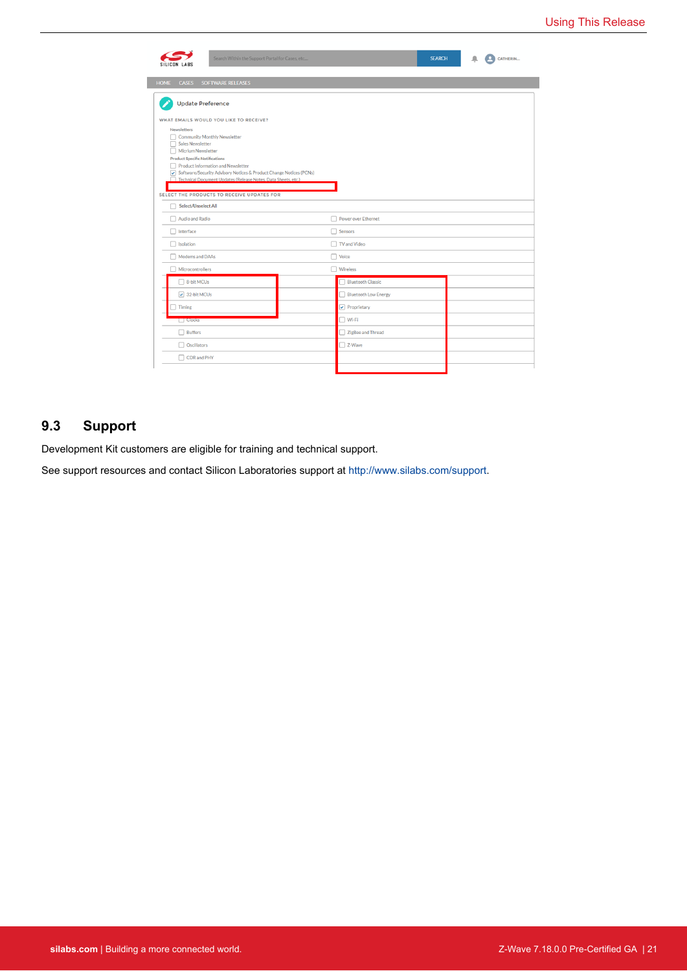| Search Within the Support Portal for Cases, etc<br>SILICON LABS    |                             | <b>SEARCH</b> | <b>Q</b> CATHERIN |
|--------------------------------------------------------------------|-----------------------------|---------------|-------------------|
| SOFTWARE RELEASES<br><b>HOME</b><br><b>CASES</b>                   |                             |               |                   |
| <b>Update Preference</b>                                           |                             |               |                   |
|                                                                    |                             |               |                   |
| WHAT EMAILS WOULD YOU LIKE TO RECEIVE?<br>Newsletters              |                             |               |                   |
| Community Monthly Newsletter                                       |                             |               |                   |
| Sales Newsletter<br>Micrium Newsletter                             |                             |               |                   |
| <b>Product Specific Notifications</b>                              |                             |               |                   |
| Product Information and Newsletter                                 |                             |               |                   |
| Software/Security Advisory Notices & Product Change Notices (PCNs) |                             |               |                   |
| Technical Document Updates (Release Notes, Data Sheets, etc.)      |                             |               |                   |
| SELECT THE PRODUCTS TO RECEIVE UPDATES FOR                         |                             |               |                   |
| Select/Unselect All                                                |                             |               |                   |
| Audio and Radio                                                    | Power over Ethernet         |               |                   |
| Interface                                                          | Sensors                     |               |                   |
| Isolation                                                          | <b>TV</b> and Video         |               |                   |
| Modems and DAAs                                                    | $\Box$ Voice                |               |                   |
| Microcontrollers                                                   | $\Box$ Wireless             |               |                   |
| 8-bit MCUs                                                         | <b>Bluetooth Classic</b>    |               |                   |
| $\boxed{\checkmark}$ 32-bit MCUs                                   | <b>Bluetooth Low Energy</b> |               |                   |
| Timing                                                             | $\sqrt{}$ Proprietary       |               |                   |
| $\Box$ Clocks                                                      | Wi-Fi                       |               |                   |
| Buffers                                                            | ZigBee and Thread           |               |                   |
| Oscillators                                                        | Z-Wave                      |               |                   |
| CDR and PHY                                                        |                             |               |                   |
|                                                                    |                             |               |                   |

# <span id="page-20-0"></span>**9.3 Support**

Development Kit customers are eligible for training and technical support.

See support resources and contact Silicon Laboratories support at [http://www.silabs.com/support.](http://www.silabs.com/support)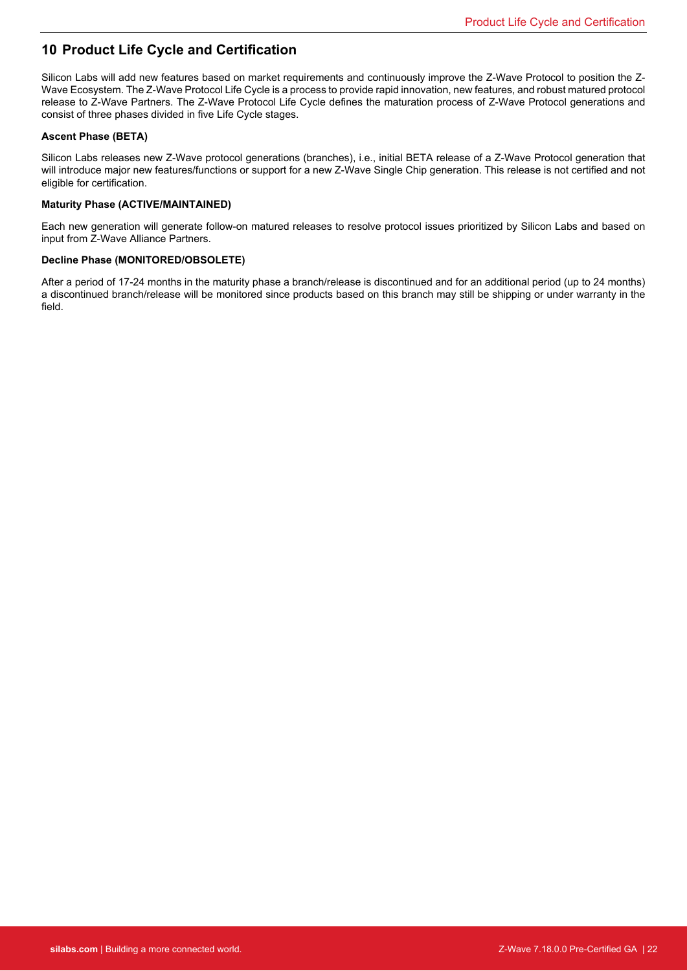# <span id="page-21-0"></span>**10 Product Life Cycle and Certification**

Silicon Labs will add new features based on market requirements and continuously improve the Z-Wave Protocol to position the Z-Wave Ecosystem. The Z-Wave Protocol Life Cycle is a process to provide rapid innovation, new features, and robust matured protocol release to Z-Wave Partners. The Z-Wave Protocol Life Cycle defines the maturation process of Z-Wave Protocol generations and consist of three phases divided in five Life Cycle stages.

#### **Ascent Phase (BETA)**

Silicon Labs releases new Z-Wave protocol generations (branches), i.e., initial BETA release of a Z-Wave Protocol generation that will introduce major new features/functions or support for a new Z-Wave Single Chip generation. This release is not certified and not eligible for certification.

#### **Maturity Phase (ACTIVE/MAINTAINED)**

Each new generation will generate follow-on matured releases to resolve protocol issues prioritized by Silicon Labs and based on input from Z-Wave Alliance Partners.

#### **Decline Phase (MONITORED/OBSOLETE)**

After a period of 17-24 months in the maturity phase a branch/release is discontinued and for an additional period (up to 24 months) a discontinued branch/release will be monitored since products based on this branch may still be shipping or under warranty in the field.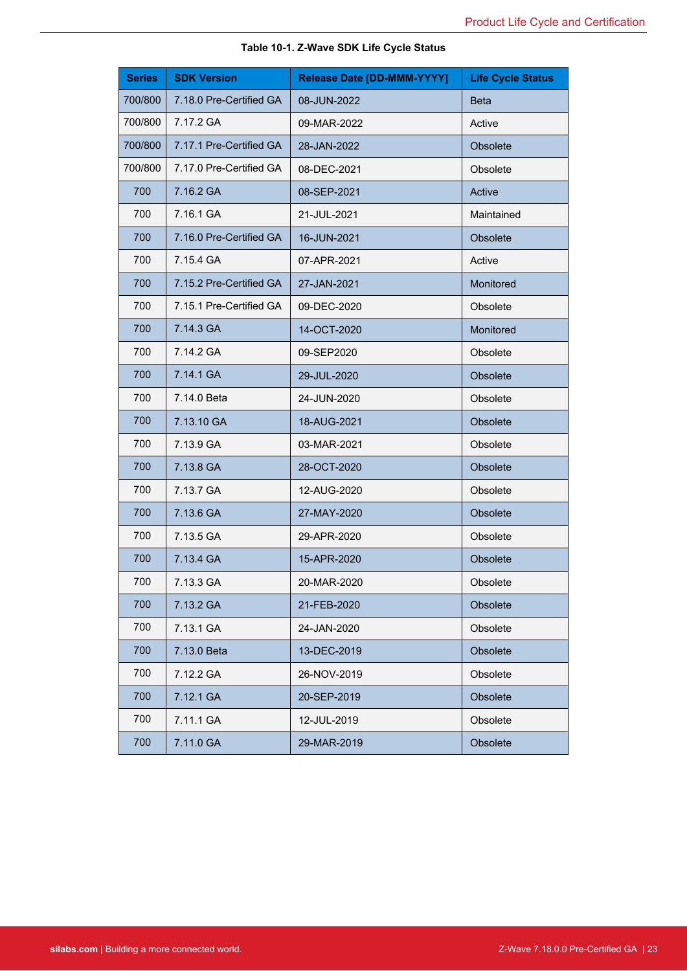| <b>Series</b> | <b>SDK Version</b>      | Release Date [DD-MMM-YYYY] | <b>Life Cycle Status</b> |
|---------------|-------------------------|----------------------------|--------------------------|
| 700/800       | 7.18.0 Pre-Certified GA | 08-JUN-2022                | <b>Beta</b>              |
| 700/800       | 7.17.2 GA               | 09-MAR-2022                | Active                   |
| 700/800       | 7.17.1 Pre-Certified GA | 28-JAN-2022                | Obsolete                 |
| 700/800       | 7.17.0 Pre-Certified GA | 08-DEC-2021                | Obsolete                 |
| 700           | 7.16.2 GA               | 08-SEP-2021                | Active                   |
| 700           | 7.16.1 GA               | 21-JUL-2021                | Maintained               |
| 700           | 7.16.0 Pre-Certified GA | 16-JUN-2021                | Obsolete                 |
| 700           | 7.15.4 GA               | 07-APR-2021                | Active                   |
| 700           | 7.15.2 Pre-Certified GA | 27-JAN-2021                | Monitored                |
| 700           | 7.15.1 Pre-Certified GA | 09-DEC-2020                | Obsolete                 |
| 700           | 7.14.3 GA               | 14-OCT-2020                | Monitored                |
| 700           | 7.14.2 GA               | 09-SEP2020                 | Obsolete                 |
| 700           | 7.14.1 GA               | 29-JUL-2020                | Obsolete                 |
| 700           | 7.14.0 Beta             | 24-JUN-2020                | Obsolete                 |
| 700           | 7.13.10 GA              | 18-AUG-2021                | Obsolete                 |
| 700           | 7.13.9 GA               | 03-MAR-2021                | Obsolete                 |
| 700           | 7.13.8 GA               | 28-OCT-2020                | Obsolete                 |
| 700           | 7.13.7 GA               | 12-AUG-2020                | Obsolete                 |
| 700           | 7.13.6 GA               | 27-MAY-2020                | Obsolete                 |
| 700           | 7.13.5 GA               | 29-APR-2020                | Obsolete                 |
| 700           | 7.13.4 GA               | 15-APR-2020                | Obsolete                 |
| 700           | 7.13.3 GA               | 20-MAR-2020                | Obsolete                 |
| 700           | 7.13.2 GA               | 21-FEB-2020                | Obsolete                 |
| 700           | 7.13.1 GA               | 24-JAN-2020                | Obsolete                 |
| 700           | 7.13.0 Beta             | 13-DEC-2019                | Obsolete                 |
| 700           | 7.12.2 GA               | 26-NOV-2019                | Obsolete                 |
| 700           | 7.12.1 GA               | 20-SEP-2019                | Obsolete                 |
| 700           | 7.11.1 GA               | 12-JUL-2019                | Obsolete                 |
| 700           | 7.11.0 GA               | 29-MAR-2019                | Obsolete                 |

### **Table 10-1. Z-Wave SDK Life Cycle Status**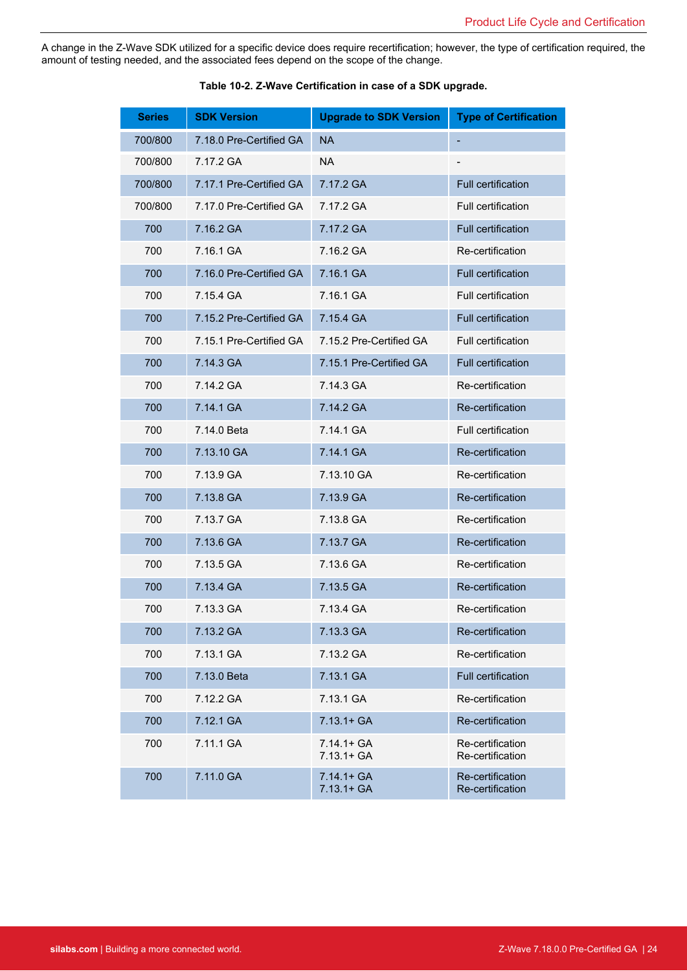A change in the Z-Wave SDK utilized for a specific device does require recertification; however, the type of certification required, the amount of testing needed, and the associated fees depend on the scope of the change.

| <b>Series</b> | <b>SDK Version</b>      | <b>Upgrade to SDK Version</b>  | <b>Type of Certification</b>         |
|---------------|-------------------------|--------------------------------|--------------------------------------|
| 700/800       | 7.18.0 Pre-Certified GA | <b>NA</b>                      |                                      |
| 700/800       | 7.17.2 GA               | <b>NA</b>                      |                                      |
| 700/800       | 7.17.1 Pre-Certified GA | 7.17.2 GA                      | Full certification                   |
| 700/800       | 7.17.0 Pre-Certified GA | 7.17.2 GA                      | <b>Full certification</b>            |
| 700           | 7.16.2 GA               | 7.17.2 GA                      | <b>Full certification</b>            |
| 700           | 7.16.1 GA               | 7.16.2 GA                      | Re-certification                     |
| 700           | 7.16.0 Pre-Certified GA | 7.16.1 GA                      | <b>Full certification</b>            |
| 700           | 7.15.4 GA               | 7.16.1 GA                      | <b>Full certification</b>            |
| 700           | 7.15.2 Pre-Certified GA | 7.15.4 GA                      | <b>Full certification</b>            |
| 700           | 7.15.1 Pre-Certified GA | 7.15.2 Pre-Certified GA        | <b>Full certification</b>            |
| 700           | 7.14.3 GA               | 7.15.1 Pre-Certified GA        | Full certification                   |
| 700           | 7.14.2 GA               | 7.14.3 GA                      | Re-certification                     |
| 700           | 7.14.1 GA               | 7.14.2 GA                      | Re-certification                     |
| 700           | 7.14.0 Beta             | 7.14.1 GA                      | Full certification                   |
| 700           | 7.13.10 GA              | 7.14.1 GA                      | Re-certification                     |
| 700           | 7.13.9 GA               | 7.13.10 GA                     | Re-certification                     |
| 700           | 7.13.8 GA               | 7.13.9 GA                      | Re-certification                     |
| 700           | 7.13.7 GA               | 7.13.8 GA                      | Re-certification                     |
| 700           | 7.13.6 GA               | 7.13.7 GA                      | Re-certification                     |
| 700           | 7.13.5 GA               | 7.13.6 GA                      | Re-certification                     |
| 700           | 7.13.4 GA               | 7.13.5 GA                      | Re-certification                     |
| 700           | 7.13.3 GA               | 7.13.4 GA                      | Re-certification                     |
| 700           | 7.13.2 GA               | 7.13.3 GA                      | Re-certification                     |
| 700           | 7.13.1 GA               | 7.13.2 GA                      | Re-certification                     |
| 700           | 7.13.0 Beta             | 7.13.1 GA                      | Full certification                   |
| 700           | 7.12.2 GA               | 7.13.1 GA                      | Re-certification                     |
| 700           | 7.12.1 GA               | $7.13.1 + GA$                  | Re-certification                     |
| 700           | 7.11.1 GA               | $7.14.1 + GA$<br>$7.13.1 + GA$ | Re-certification<br>Re-certification |
| 700           | 7.11.0 GA               | $7.14.1 + GA$<br>$7.13.1 + GA$ | Re-certification<br>Re-certification |

|  |  |  |  |  | Table 10-2. Z-Wave Certification in case of a SDK upgrade. |
|--|--|--|--|--|------------------------------------------------------------|
|--|--|--|--|--|------------------------------------------------------------|